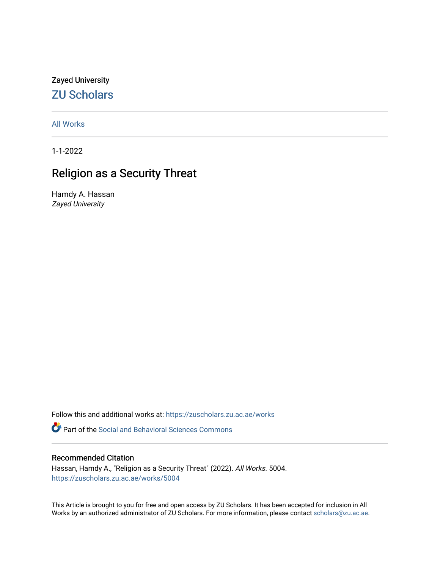Zayed University [ZU Scholars](https://zuscholars.zu.ac.ae/) 

[All Works](https://zuscholars.zu.ac.ae/works)

1-1-2022

# Religion as a Security Threat

Hamdy A. Hassan Zayed University

Follow this and additional works at: [https://zuscholars.zu.ac.ae/works](https://zuscholars.zu.ac.ae/works?utm_source=zuscholars.zu.ac.ae%2Fworks%2F5004&utm_medium=PDF&utm_campaign=PDFCoverPages)

**P** Part of the Social and Behavioral Sciences Commons

# Recommended Citation

Hassan, Hamdy A., "Religion as a Security Threat" (2022). All Works. 5004. [https://zuscholars.zu.ac.ae/works/5004](https://zuscholars.zu.ac.ae/works/5004?utm_source=zuscholars.zu.ac.ae%2Fworks%2F5004&utm_medium=PDF&utm_campaign=PDFCoverPages)

This Article is brought to you for free and open access by ZU Scholars. It has been accepted for inclusion in All Works by an authorized administrator of ZU Scholars. For more information, please contact [scholars@zu.ac.ae](mailto:scholars@zu.ac.ae).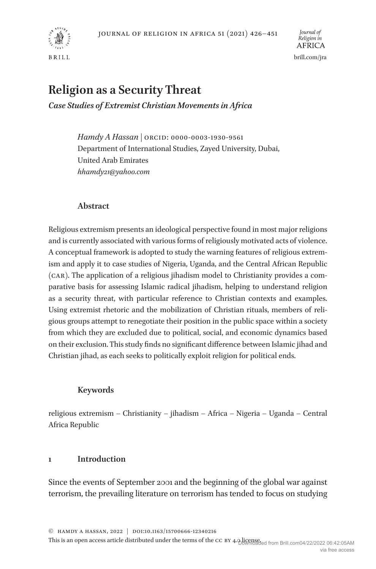

# **Religion as a Security Threat**

*Case Studies of Extremist Christian Movements in Africa*

*Hamdy A Hassan |* ORCID: 0000-0003-1930-9561 Department of International Studies, Zayed University, Dubai, United Arab Emirates *hhamdy21@yahoo.com*

# **Abstract**

Religious extremism presents an ideological perspective found in most major religions and is currently associated with various forms of religiously motivated acts of violence. A conceptual framework is adopted to study the warning features of religious extremism and apply it to case studies of Nigeria, Uganda, and the Central African Republic (CAR). The application of a religious jihadism model to Christianity provides a comparative basis for assessing Islamic radical jihadism, helping to understand religion as a security threat, with particular reference to Christian contexts and examples. Using extremist rhetoric and the mobilization of Christian rituals, members of religious groups attempt to renegotiate their position in the public space within a society from which they are excluded due to political, social, and economic dynamics based on their exclusion. This study finds no significant difference between Islamic jihad and Christian jihad, as each seeks to politically exploit religion for political ends.

# **Keywords**

religious extremism – Christianity – jihadism – Africa – Nigeria – Uganda – Central Africa Republic

# **1 Introduction**

Since the events of September 2001 and the beginning of the global war against terrorism, the prevailing literature on terrorism has tended to focus on studying

This is an open access article distributed under the terms of the CC BY 4.0 licensed from Brill.com04/22/2022 06:42:05AM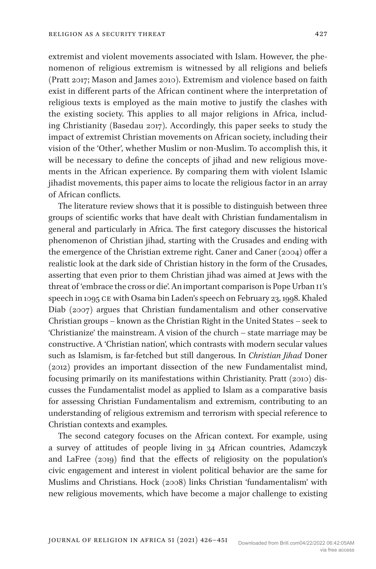extremist and violent movements associated with Islam. However, the phenomenon of religious extremism is witnessed by all religions and beliefs (Pratt 2017; Mason and James 2010). Extremism and violence based on faith exist in different parts of the African continent where the interpretation of religious texts is employed as the main motive to justify the clashes with the existing society. This applies to all major religions in Africa, including Christianity (Basedau 2017). Accordingly, this paper seeks to study the impact of extremist Christian movements on African society, including their vision of the 'Other', whether Muslim or non-Muslim. To accomplish this, it will be necessary to define the concepts of jihad and new religious movements in the African experience. By comparing them with violent Islamic jihadist movements, this paper aims to locate the religious factor in an array of African conflicts.

The literature review shows that it is possible to distinguish between three groups of scientific works that have dealt with Christian fundamentalism in general and particularly in Africa. The first category discusses the historical phenomenon of Christian jihad, starting with the Crusades and ending with the emergence of the Christian extreme right. Caner and Caner (2004) offer a realistic look at the dark side of Christian history in the form of the Crusades, asserting that even prior to them Christian jihad was aimed at Jews with the threat of 'embrace the cross or die'. An important comparison is Pope Urban II's speech in 1095 CE with Osama bin Laden's speech on February 23, 1998. Khaled Diab (2007) argues that Christian fundamentalism and other conservative Christian groups – known as the Christian Right in the United States – seek to 'Christianize' the mainstream. A vision of the church – state marriage may be constructive. A 'Christian nation', which contrasts with modern secular values such as Islamism, is far-fetched but still dangerous. In *Christian Jihad* Doner (2012) provides an important dissection of the new Fundamentalist mind, focusing primarily on its manifestations within Christianity. Pratt (2010) discusses the Fundamentalist model as applied to Islam as a comparative basis for assessing Christian Fundamentalism and extremism, contributing to an understanding of religious extremism and terrorism with special reference to Christian contexts and examples.

The second category focuses on the African context. For example, using a survey of attitudes of people living in 34 African countries, Adamczyk and LaFree (2019) find that the effects of religiosity on the population's civic engagement and interest in violent political behavior are the same for Muslims and Christians. Hock (2008) links Christian 'fundamentalism' with new religious movements, which have become a major challenge to existing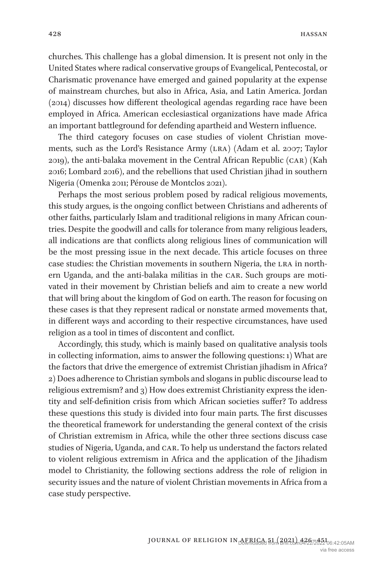churches. This challenge has a global dimension. It is present not only in the United States where radical conservative groups of Evangelical, Pentecostal, or Charismatic provenance have emerged and gained popularity at the expense of mainstream churches, but also in Africa, Asia, and Latin America. Jordan (2014) discusses how different theological agendas regarding race have been employed in Africa. American ecclesiastical organizations have made Africa an important battleground for defending apartheid and Western influence.

The third category focuses on case studies of violent Christian movements, such as the Lord's Resistance Army (LRA) (Adam et al. 2007; Taylor 2019), the anti-balaka movement in the Central African Republic (CAR) (Kah 2016; Lombard 2016), and the rebellions that used Christian jihad in southern Nigeria (Omenka 2011; Pérouse de Montclos 2021).

Perhaps the most serious problem posed by radical religious movements, this study argues, is the ongoing conflict between Christians and adherents of other faiths, particularly Islam and traditional religions in many African countries. Despite the goodwill and calls for tolerance from many religious leaders, all indications are that conflicts along religious lines of communication will be the most pressing issue in the next decade. This article focuses on three case studies: the Christian movements in southern Nigeria, the LRA in northern Uganda, and the anti-balaka militias in the CAR. Such groups are motivated in their movement by Christian beliefs and aim to create a new world that will bring about the kingdom of God on earth. The reason for focusing on these cases is that they represent radical or nonstate armed movements that, in different ways and according to their respective circumstances, have used religion as a tool in times of discontent and conflict.

Accordingly, this study, which is mainly based on qualitative analysis tools in collecting information, aims to answer the following questions: 1) What are the factors that drive the emergence of extremist Christian jihadism in Africa? 2) Does adherence to Christian symbols and slogans in public discourse lead to religious extremism? and 3) How does extremist Christianity express the identity and self-definition crisis from which African societies suffer? To address these questions this study is divided into four main parts. The first discusses the theoretical framework for understanding the general context of the crisis of Christian extremism in Africa, while the other three sections discuss case studies of Nigeria, Uganda, and CAR. To help us understand the factors related to violent religious extremism in Africa and the application of the Jihadism model to Christianity, the following sections address the role of religion in security issues and the nature of violent Christian movements in Africa from a case study perspective.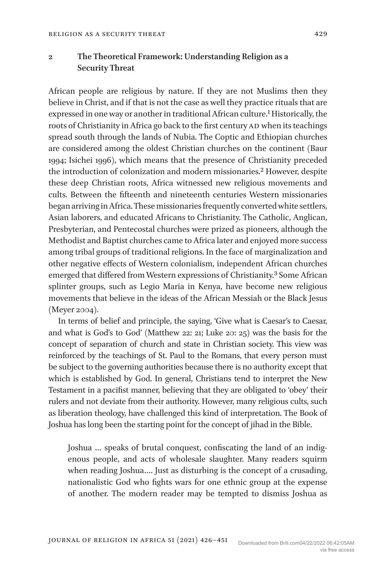**2 The Theoretical Framework: Understanding Religion as a Security Threat**

African people are religious by nature. If they are not Muslims then they believe in Christ, and if that is not the case as well they practice rituals that are expressed in one way or another in traditional African culture.<sup>1</sup> Historically, the roots of Christianity in Africa go back to the first century AD when its teachings spread south through the lands of Nubia. The Coptic and Ethiopian churches are considered among the oldest Christian churches on the continent (Baur 1994; Isichei 1996), which means that the presence of Christianity preceded the introduction of colonization and modern missionaries.<sup>2</sup> However, despite these deep Christian roots, Africa witnessed new religious movements and cults. Between the fifteenth and nineteenth centuries Western missionaries began arriving in Africa. These missionaries frequently converted white settlers, Asian laborers, and educated Africans to Christianity. The Catholic, Anglican, Presbyterian, and Pentecostal churches were prized as pioneers, although the Methodist and Baptist churches came to Africa later and enjoyed more success among tribal groups of traditional religions. In the face of marginalization and other negative effects of Western colonialism, independent African churches emerged that differed from Western expressions of Christianity.<sup>3</sup> Some African splinter groups, such as Legio Maria in Kenya, have become new religious movements that believe in the ideas of the African Messiah or the Black Jesus (Meyer 2004).

In terms of belief and principle, the saying, 'Give what is Caesar's to Caesar, and what is God's to God' (Matthew 22: 21; Luke 20: 25) was the basis for the concept of separation of church and state in Christian society. This view was reinforced by the teachings of St. Paul to the Romans, that every person must be subject to the governing authorities because there is no authority except that which is established by God. In general, Christians tend to interpret the New Testament in a pacifist manner, believing that they are obligated to 'obey' their rulers and not deviate from their authority. However, many religious cults, such as liberation theology, have challenged this kind of interpretation. The Book of Joshua has long been the starting point for the concept of jihad in the Bible.

Joshua … speaks of brutal conquest, confiscating the land of an indigenous people, and acts of wholesale slaughter. Many readers squirm when reading Joshua…. Just as disturbing is the concept of a crusading, nationalistic God who fights wars for one ethnic group at the expense of another. The modern reader may be tempted to dismiss Joshua as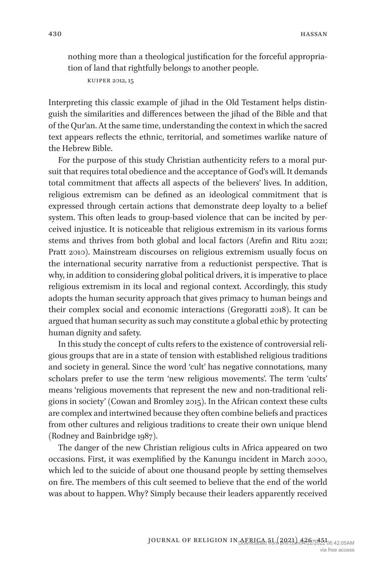nothing more than a theological justification for the forceful appropriation of land that rightfully belongs to another people.

Kuiper 2012, 15

Interpreting this classic example of jihad in the Old Testament helps distinguish the similarities and differences between the jihad of the Bible and that of the Qur'an. At the same time, understanding the context in which the sacred text appears reflects the ethnic, territorial, and sometimes warlike nature of the Hebrew Bible.

For the purpose of this study Christian authenticity refers to a moral pursuit that requires total obedience and the acceptance of God's will. It demands total commitment that affects all aspects of the believers' lives. In addition, religious extremism can be defined as an ideological commitment that is expressed through certain actions that demonstrate deep loyalty to a belief system. This often leads to group-based violence that can be incited by perceived injustice. It is noticeable that religious extremism in its various forms stems and thrives from both global and local factors (Arefin and Ritu 2021; Pratt 2010). Mainstream discourses on religious extremism usually focus on the international security narrative from a reductionist perspective. That is why, in addition to considering global political drivers, it is imperative to place religious extremism in its local and regional context. Accordingly, this study adopts the human security approach that gives primacy to human beings and their complex social and economic interactions (Gregoratti 2018). It can be argued that human security as such may constitute a global ethic by protecting human dignity and safety.

In this study the concept of cults refers to the existence of controversial religious groups that are in a state of tension with established religious traditions and society in general. Since the word 'cult' has negative connotations, many scholars prefer to use the term 'new religious movements'. The term 'cults' means 'religious movements that represent the new and non-traditional religions in society' (Cowan and Bromley 2015). In the African context these cults are complex and intertwined because they often combine beliefs and practices from other cultures and religious traditions to create their own unique blend (Rodney and Bainbridge 1987).

The danger of the new Christian religious cults in Africa appeared on two occasions. First, it was exemplified by the Kanungu incident in March 2000, which led to the suicide of about one thousand people by setting themselves on fire. The members of this cult seemed to believe that the end of the world was about to happen. Why? Simply because their leaders apparently received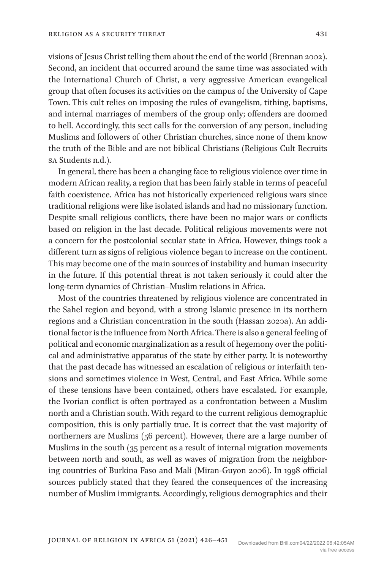visions of Jesus Christ telling them about the end of the world (Brennan 2002). Second, an incident that occurred around the same time was associated with the International Church of Christ, a very aggressive American evangelical group that often focuses its activities on the campus of the University of Cape Town. This cult relies on imposing the rules of evangelism, tithing, baptisms, and internal marriages of members of the group only; offenders are doomed to hell. Accordingly, this sect calls for the conversion of any person, including Muslims and followers of other Christian churches, since none of them know the truth of the Bible and are not biblical Christians (Religious Cult Recruits SA Students n.d.).

In general, there has been a changing face to religious violence over time in modern African reality, a region that has been fairly stable in terms of peaceful faith coexistence. Africa has not historically experienced religious wars since traditional religions were like isolated islands and had no missionary function. Despite small religious conflicts, there have been no major wars or conflicts based on religion in the last decade. Political religious movements were not a concern for the postcolonial secular state in Africa. However, things took a different turn as signs of religious violence began to increase on the continent. This may become one of the main sources of instability and human insecurity in the future. If this potential threat is not taken seriously it could alter the long-term dynamics of Christian–Muslim relations in Africa.

Most of the countries threatened by religious violence are concentrated in the Sahel region and beyond, with a strong Islamic presence in its northern regions and a Christian concentration in the south (Hassan 2020a). An additional factor is the influence from North Africa. There is also a general feeling of political and economic marginalization as a result of hegemony over the political and administrative apparatus of the state by either party. It is noteworthy that the past decade has witnessed an escalation of religious or interfaith tensions and sometimes violence in West, Central, and East Africa. While some of these tensions have been contained, others have escalated. For example, the Ivorian conflict is often portrayed as a confrontation between a Muslim north and a Christian south. With regard to the current religious demographic composition, this is only partially true. It is correct that the vast majority of northerners are Muslims (56 percent). However, there are a large number of Muslims in the south (35 percent as a result of internal migration movements between north and south, as well as waves of migration from the neighboring countries of Burkina Faso and Mali (Miran-Guyon 2006). In 1998 official sources publicly stated that they feared the consequences of the increasing number of Muslim immigrants. Accordingly, religious demographics and their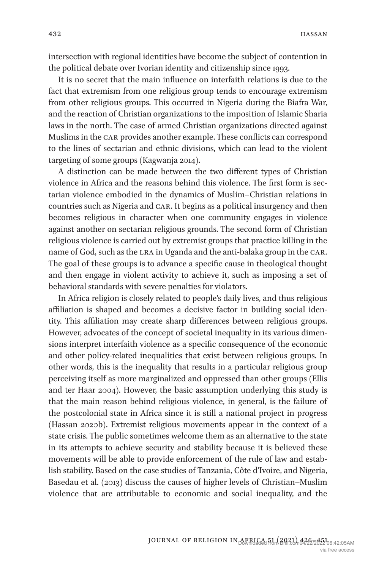intersection with regional identities have become the subject of contention in the political debate over Ivorian identity and citizenship since 1993.

It is no secret that the main influence on interfaith relations is due to the fact that extremism from one religious group tends to encourage extremism from other religious groups. This occurred in Nigeria during the Biafra War, and the reaction of Christian organizations to the imposition of Islamic Sharia laws in the north. The case of armed Christian organizations directed against Muslims in the CAR provides another example. These conflicts can correspond to the lines of sectarian and ethnic divisions, which can lead to the violent targeting of some groups (Kagwanja 2014).

A distinction can be made between the two different types of Christian violence in Africa and the reasons behind this violence. The first form is sectarian violence embodied in the dynamics of Muslim–Christian relations in countries such as Nigeria and CAR. It begins as a political insurgency and then becomes religious in character when one community engages in violence against another on sectarian religious grounds. The second form of Christian religious violence is carried out by extremist groups that practice killing in the name of God, such as the LRA in Uganda and the anti-balaka group in the CAR. The goal of these groups is to advance a specific cause in theological thought and then engage in violent activity to achieve it, such as imposing a set of behavioral standards with severe penalties for violators.

In Africa religion is closely related to people's daily lives, and thus religious affiliation is shaped and becomes a decisive factor in building social identity. This affiliation may create sharp differences between religious groups. However, advocates of the concept of societal inequality in its various dimensions interpret interfaith violence as a specific consequence of the economic and other policy-related inequalities that exist between religious groups. In other words, this is the inequality that results in a particular religious group perceiving itself as more marginalized and oppressed than other groups (Ellis and ter Haar 2004). However, the basic assumption underlying this study is that the main reason behind religious violence, in general, is the failure of the postcolonial state in Africa since it is still a national project in progress (Hassan 2020b). Extremist religious movements appear in the context of a state crisis. The public sometimes welcome them as an alternative to the state in its attempts to achieve security and stability because it is believed these movements will be able to provide enforcement of the rule of law and establish stability. Based on the case studies of Tanzania, Côte d'Ivoire, and Nigeria, Basedau et al. (2013) discuss the causes of higher levels of Christian–Muslim violence that are attributable to economic and social inequality, and the

> JOURNAL OF RELIGION IN AFRICA 51 (2021) 426–451 06:42:05AM via free access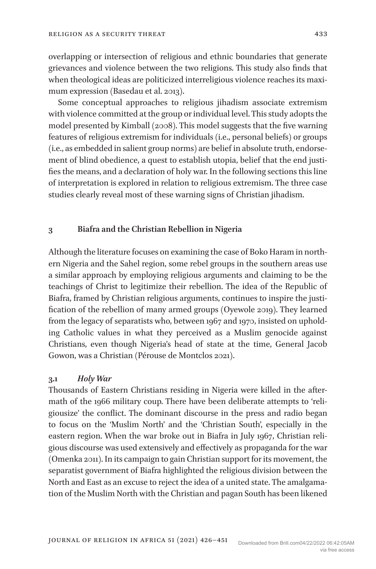overlapping or intersection of religious and ethnic boundaries that generate grievances and violence between the two religions. This study also finds that when theological ideas are politicized interreligious violence reaches its maximum expression (Basedau et al. 2013).

Some conceptual approaches to religious jihadism associate extremism with violence committed at the group or individual level. This study adopts the model presented by Kimball (2008). This model suggests that the five warning features of religious extremism for individuals (i.e., personal beliefs) or groups (i.e., as embedded in salient group norms) are belief in absolute truth, endorsement of blind obedience, a quest to establish utopia, belief that the end justifies the means, and a declaration of holy war. In the following sections this line of interpretation is explored in relation to religious extremism. The three case studies clearly reveal most of these warning signs of Christian jihadism.

#### **3 Biafra and the Christian Rebellion in Nigeria**

Although the literature focuses on examining the case of Boko Haram in northern Nigeria and the Sahel region, some rebel groups in the southern areas use a similar approach by employing religious arguments and claiming to be the teachings of Christ to legitimize their rebellion. The idea of the Republic of Biafra, framed by Christian religious arguments, continues to inspire the justification of the rebellion of many armed groups (Oyewole 2019). They learned from the legacy of separatists who, between 1967 and 1970, insisted on upholding Catholic values in what they perceived as a Muslim genocide against Christians, even though Nigeria's head of state at the time, General Jacob Gowon, was a Christian (Pérouse de Montclos 2021).

#### **3.1** *Holy War*

Thousands of Eastern Christians residing in Nigeria were killed in the aftermath of the 1966 military coup. There have been deliberate attempts to 'religiousize' the conflict. The dominant discourse in the press and radio began to focus on the 'Muslim North' and the 'Christian South', especially in the eastern region. When the war broke out in Biafra in July 1967, Christian religious discourse was used extensively and effectively as propaganda for the war (Omenka 2011). In its campaign to gain Christian support for its movement, the separatist government of Biafra highlighted the religious division between the North and East as an excuse to reject the idea of a united state. The amalgamation of the Muslim North with the Christian and pagan South has been likened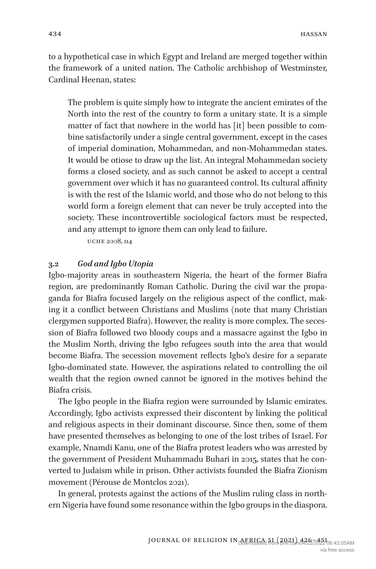to a hypothetical case in which Egypt and Ireland are merged together within the framework of a united nation. The Catholic archbishop of Westminster, Cardinal Heenan, states:

The problem is quite simply how to integrate the ancient emirates of the North into the rest of the country to form a unitary state. It is a simple matter of fact that nowhere in the world has [it] been possible to combine satisfactorily under a single central government, except in the cases of imperial domination, Mohammedan, and non-Mohammedan states. It would be otiose to draw up the list. An integral Mohammedan society forms a closed society, and as such cannot be asked to accept a central government over which it has no guaranteed control. Its cultural affinity is with the rest of the Islamic world, and those who do not belong to this world form a foreign element that can never be truly accepted into the society. These incontrovertible sociological factors must be respected, and any attempt to ignore them can only lead to failure.

Uche 2008, 114

## **3.2** *God and Igbo Utopia*

Igbo-majority areas in southeastern Nigeria, the heart of the former Biafra region, are predominantly Roman Catholic. During the civil war the propaganda for Biafra focused largely on the religious aspect of the conflict, making it a conflict between Christians and Muslims (note that many Christian clergymen supported Biafra). However, the reality is more complex. The secession of Biafra followed two bloody coups and a massacre against the Igbo in the Muslim North, driving the Igbo refugees south into the area that would become Biafra. The secession movement reflects Igbo's desire for a separate Igbo-dominated state. However, the aspirations related to controlling the oil wealth that the region owned cannot be ignored in the motives behind the Biafra crisis.

The Igbo people in the Biafra region were surrounded by Islamic emirates. Accordingly, Igbo activists expressed their discontent by linking the political and religious aspects in their dominant discourse. Since then, some of them have presented themselves as belonging to one of the lost tribes of Israel. For example, Nnamdi Kanu, one of the Biafra protest leaders who was arrested by the government of President Muhammadu Buhari in 2015, states that he converted to Judaism while in prison. Other activists founded the Biafra Zionism movement (Pérouse de Montclos 2021).

In general, protests against the actions of the Muslim ruling class in northern Nigeria have found some resonance within the Igbo groups in the diaspora.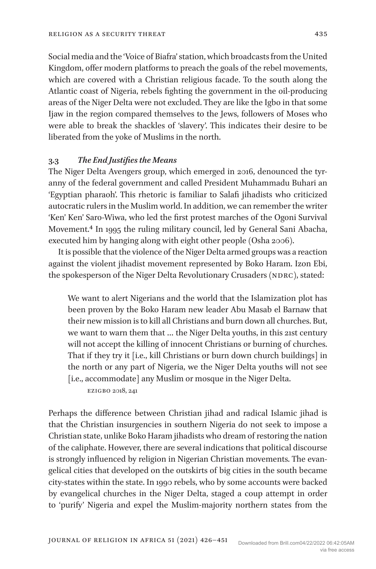Social media and the 'Voice of Biafra' station, which broadcasts from the United Kingdom, offer modern platforms to preach the goals of the rebel movements, which are covered with a Christian religious facade. To the south along the Atlantic coast of Nigeria, rebels fighting the government in the oil-producing areas of the Niger Delta were not excluded. They are like the Igbo in that some Ijaw in the region compared themselves to the Jews, followers of Moses who were able to break the shackles of 'slavery'. This indicates their desire to be liberated from the yoke of Muslims in the north.

# **3.3** *The End Justifiesthe Means*

The Niger Delta Avengers group, which emerged in 2016, denounced the tyranny of the federal government and called President Muhammadu Buhari an 'Egyptian pharaoh'. This rhetoric is familiar to Salafi jihadists who criticized autocratic rulers in the Muslim world. In addition, we can remember the writer 'Ken' Ken' Saro-Wiwa, who led the first protest marches of the Ogoni Survival Movement.4 In 1995 the ruling military council, led by General Sani Abacha, executed him by hanging along with eight other people (Osha 2006).

It is possible that the violence of the Niger Delta armed groups was a reaction against the violent jihadist movement represented by Boko Haram. Izon Ebi, the spokesperson of the Niger Delta Revolutionary Crusaders (NDRC), stated:

We want to alert Nigerians and the world that the Islamization plot has been proven by the Boko Haram new leader Abu Masab el Barnaw that their new mission is to kill all Christians and burn down all churches. But, we want to warn them that … the Niger Delta youths, in this 21st century will not accept the killing of innocent Christians or burning of churches. That if they try it [i.e., kill Christians or burn down church buildings] in the north or any part of Nigeria, we the Niger Delta youths will not see [i.e., accommodate] any Muslim or mosque in the Niger Delta.

Ezigbo 2018, 241

Perhaps the difference between Christian jihad and radical Islamic jihad is that the Christian insurgencies in southern Nigeria do not seek to impose a Christian state, unlike Boko Haram jihadists who dream of restoring the nation of the caliphate. However, there are several indications that political discourse is strongly influenced by religion in Nigerian Christian movements. The evangelical cities that developed on the outskirts of big cities in the south became city-states within the state. In 1990 rebels, who by some accounts were backed by evangelical churches in the Niger Delta, staged a coup attempt in order to 'purify' Nigeria and expel the Muslim-majority northern states from the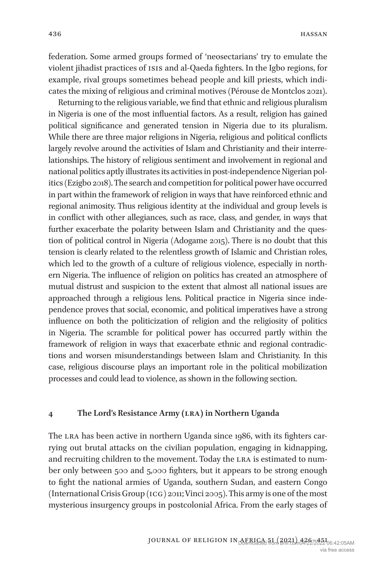federation. Some armed groups formed of 'neosectarians' try to emulate the violent jihadist practices of ISIS and al-Qaeda fighters. In the Igbo regions, for example, rival groups sometimes behead people and kill priests, which indicates the mixing of religious and criminal motives (Pérouse de Montclos 2021).

Returning to the religious variable, we find that ethnic and religious pluralism in Nigeria is one of the most influential factors. As a result, religion has gained political significance and generated tension in Nigeria due to its pluralism. While there are three major religions in Nigeria, religious and political conflicts largely revolve around the activities of Islam and Christianity and their interrelationships. The history of religious sentiment and involvement in regional and national politics aptly illustrates its activities in post-independence Nigerian politics (Ezigbo 2018). The search and competition for political power have occurred in part within the framework of religion in ways that have reinforced ethnic and regional animosity. Thus religious identity at the individual and group levels is in conflict with other allegiances, such as race, class, and gender, in ways that further exacerbate the polarity between Islam and Christianity and the question of political control in Nigeria (Adogame 2015). There is no doubt that this tension is clearly related to the relentless growth of Islamic and Christian roles, which led to the growth of a culture of religious violence, especially in northern Nigeria. The influence of religion on politics has created an atmosphere of mutual distrust and suspicion to the extent that almost all national issues are approached through a religious lens. Political practice in Nigeria since independence proves that social, economic, and political imperatives have a strong influence on both the politicization of religion and the religiosity of politics in Nigeria. The scramble for political power has occurred partly within the framework of religion in ways that exacerbate ethnic and regional contradictions and worsen misunderstandings between Islam and Christianity. In this case, religious discourse plays an important role in the political mobilization processes and could lead to violence, as shown in the following section.

#### **4 The Lord's Resistance Army (LRA) in Northern Uganda**

The LRA has been active in northern Uganda since 1986, with its fighters carrying out brutal attacks on the civilian population, engaging in kidnapping, and recruiting children to the movement. Today the LRA is estimated to number only between 500 and 5,000 fighters, but it appears to be strong enough to fight the national armies of Uganda, southern Sudan, and eastern Congo (International Crisis Group (ICG) 2011; Vinci 2005). This army is one of the most mysterious insurgency groups in postcolonial Africa. From the early stages of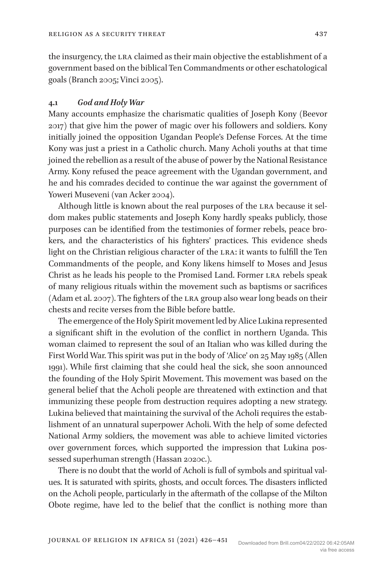the insurgency, the LRA claimed as their main objective the establishment of a government based on the biblical Ten Commandments or other eschatological goals (Branch 2005; Vinci 2005).

#### **4.1** *God and Holy War*

Many accounts emphasize the charismatic qualities of Joseph Kony (Beevor 2017) that give him the power of magic over his followers and soldiers. Kony initially joined the opposition Ugandan People's Defense Forces. At the time Kony was just a priest in a Catholic church. Many Acholi youths at that time joined the rebellion as a result of the abuse of power by the National Resistance Army. Kony refused the peace agreement with the Ugandan government, and he and his comrades decided to continue the war against the government of Yoweri Museveni (van Acker 2004).

Although little is known about the real purposes of the LRA because it seldom makes public statements and Joseph Kony hardly speaks publicly, those purposes can be identified from the testimonies of former rebels, peace brokers, and the characteristics of his fighters' practices. This evidence sheds light on the Christian religious character of the LRA: it wants to fulfill the Ten Commandments of the people, and Kony likens himself to Moses and Jesus Christ as he leads his people to the Promised Land. Former LRA rebels speak of many religious rituals within the movement such as baptisms or sacrifices (Adam et al. 2007). The fighters of the LRA group also wear long beads on their chests and recite verses from the Bible before battle.

The emergence of the Holy Spirit movement led by Alice Lukina represented a significant shift in the evolution of the conflict in northern Uganda. This woman claimed to represent the soul of an Italian who was killed during the First World War. This spirit was put in the body of 'Alice' on 25 May 1985 (Allen 1991). While first claiming that she could heal the sick, she soon announced the founding of the Holy Spirit Movement. This movement was based on the general belief that the Acholi people are threatened with extinction and that immunizing these people from destruction requires adopting a new strategy. Lukina believed that maintaining the survival of the Acholi requires the establishment of an unnatural superpower Acholi. With the help of some defected National Army soldiers, the movement was able to achieve limited victories over government forces, which supported the impression that Lukina possessed superhuman strength (Hassan 2020c.).

There is no doubt that the world of Acholi is full of symbols and spiritual values. It is saturated with spirits, ghosts, and occult forces. The disasters inflicted on the Acholi people, particularly in the aftermath of the collapse of the Milton Obote regime, have led to the belief that the conflict is nothing more than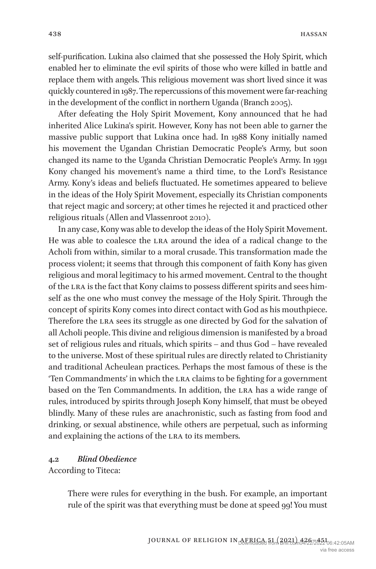self-purification. Lukina also claimed that she possessed the Holy Spirit, which enabled her to eliminate the evil spirits of those who were killed in battle and replace them with angels. This religious movement was short lived since it was quickly countered in 1987. The repercussions of this movement were far-reaching in the development of the conflict in northern Uganda (Branch 2005).

After defeating the Holy Spirit Movement, Kony announced that he had inherited Alice Lukina's spirit. However, Kony has not been able to garner the massive public support that Lukina once had. In 1988 Kony initially named his movement the Ugandan Christian Democratic People's Army, but soon changed its name to the Uganda Christian Democratic People's Army. In 1991 Kony changed his movement's name a third time, to the Lord's Resistance Army. Kony's ideas and beliefs fluctuated. He sometimes appeared to believe in the ideas of the Holy Spirit Movement, especially its Christian components that reject magic and sorcery; at other times he rejected it and practiced other religious rituals (Allen and Vlassenroot 2010).

In any case, Kony was able to develop the ideas of the Holy Spirit Movement. He was able to coalesce the LRA around the idea of a radical change to the Acholi from within, similar to a moral crusade. This transformation made the process violent; it seems that through this component of faith Kony has given religious and moral legitimacy to his armed movement. Central to the thought of the LRA is the fact that Kony claims to possess different spirits and sees himself as the one who must convey the message of the Holy Spirit. Through the concept of spirits Kony comes into direct contact with God as his mouthpiece. Therefore the LRA sees its struggle as one directed by God for the salvation of all Acholi people. This divine and religious dimension is manifested by a broad set of religious rules and rituals, which spirits – and thus God – have revealed to the universe. Most of these spiritual rules are directly related to Christianity and traditional Acheulean practices. Perhaps the most famous of these is the 'Ten Commandments' in which the LRA claims to be fighting for a government based on the Ten Commandments. In addition, the LRA has a wide range of rules, introduced by spirits through Joseph Kony himself, that must be obeyed blindly. Many of these rules are anachronistic, such as fasting from food and drinking, or sexual abstinence, while others are perpetual, such as informing and explaining the actions of the LRA to its members.

# **4.2** *Blind Obedience*

According to Titeca:

There were rules for everything in the bush. For example, an important rule of the spirit was that everything must be done at speed 99! You must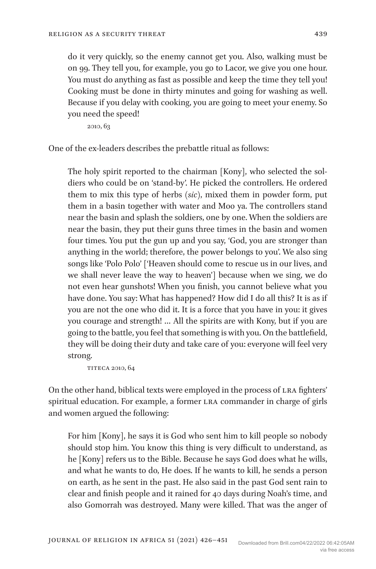do it very quickly, so the enemy cannot get you. Also, walking must be on 99. They tell you, for example, you go to Lacor, we give you one hour. You must do anything as fast as possible and keep the time they tell you! Cooking must be done in thirty minutes and going for washing as well. Because if you delay with cooking, you are going to meet your enemy. So you need the speed!

2010, 63

One of the ex-leaders describes the prebattle ritual as follows:

The holy spirit reported to the chairman [Kony], who selected the soldiers who could be on 'stand-by'. He picked the controllers. He ordered them to mix this type of herbs *(sic)*, mixed them in powder form, put them in a basin together with water and Moo ya. The controllers stand near the basin and splash the soldiers, one by one. When the soldiers are near the basin, they put their guns three times in the basin and women four times. You put the gun up and you say, 'God, you are stronger than anything in the world; therefore, the power belongs to you'. We also sing songs like 'Polo Polo' ['Heaven should come to rescue us in our lives, and we shall never leave the way to heaven'] because when we sing, we do not even hear gunshots! When you finish, you cannot believe what you have done. You say: What has happened? How did I do all this? It is as if you are not the one who did it. It is a force that you have in you: it gives you courage and strength! … All the spirits are with Kony, but if you are going to the battle, you feel that something is with you. On the battlefield, they will be doing their duty and take care of you: everyone will feel very strong.

Titeca 2010, 64

On the other hand, biblical texts were employed in the process of LRA fighters' spiritual education. For example, a former LRA commander in charge of girls and women argued the following:

For him [Kony], he says it is God who sent him to kill people so nobody should stop him. You know this thing is very difficult to understand, as he [Kony] refers us to the Bible. Because he says God does what he wills, and what he wants to do, He does. If he wants to kill, he sends a person on earth, as he sent in the past. He also said in the past God sent rain to clear and finish people and it rained for 40 days during Noah's time, and also Gomorrah was destroyed. Many were killed. That was the anger of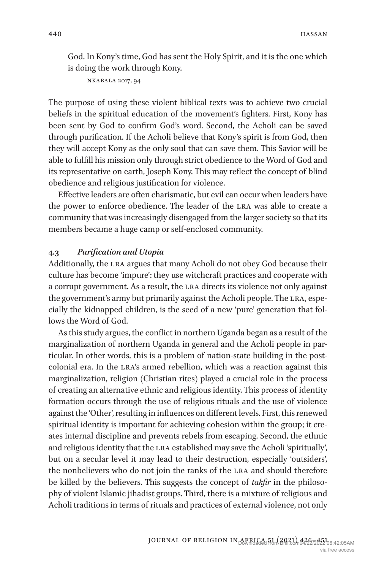God. In Kony's time, God has sent the Holy Spirit, and it is the one which is doing the work through Kony.

```
Nkabala 2017, 94
```
The purpose of using these violent biblical texts was to achieve two crucial beliefs in the spiritual education of the movement's fighters. First, Kony has been sent by God to confirm God's word. Second, the Acholi can be saved through purification. If the Acholi believe that Kony's spirit is from God, then they will accept Kony as the only soul that can save them. This Savior will be able to fulfill his mission only through strict obedience to the Word of God and its representative on earth, Joseph Kony. This may reflect the concept of blind obedience and religious justification for violence.

Effective leaders are often charismatic, but evil can occur when leaders have the power to enforce obedience. The leader of the LRA was able to create a community that was increasingly disengaged from the larger society so that its members became a huge camp or self-enclosed community.

# **4.3** *Purification and Utopia*

Additionally, the LRA argues that many Acholi do not obey God because their culture has become 'impure': they use witchcraft practices and cooperate with a corrupt government. As a result, the LRA directs its violence not only against the government's army but primarily against the Acholi people. The LRA, especially the kidnapped children, is the seed of a new 'pure' generation that follows the Word of God.

As this study argues, the conflict in northern Uganda began as a result of the marginalization of northern Uganda in general and the Acholi people in particular. In other words, this is a problem of nation-state building in the postcolonial era. In the LRA's armed rebellion, which was a reaction against this marginalization, religion (Christian rites) played a crucial role in the process of creating an alternative ethnic and religious identity. This process of identity formation occurs through the use of religious rituals and the use of violence against the 'Other', resulting in influences on different levels. First, this renewed spiritual identity is important for achieving cohesion within the group; it creates internal discipline and prevents rebels from escaping. Second, the ethnic and religious identity that the LRA established may save the Acholi 'spiritually', but on a secular level it may lead to their destruction, especially 'outsiders', the nonbelievers who do not join the ranks of the LRA and should therefore be killed by the believers. This suggests the concept of *takfir* in the philosophy of violent Islamic jihadist groups. Third, there is a mixture of religious and Acholi traditions in terms of rituals and practices of external violence, not only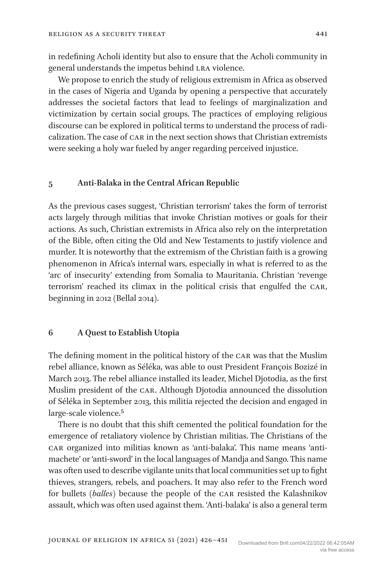in redefining Acholi identity but also to ensure that the Acholi community in general understands the impetus behind LRA violence.

We propose to enrich the study of religious extremism in Africa as observed in the cases of Nigeria and Uganda by opening a perspective that accurately addresses the societal factors that lead to feelings of marginalization and victimization by certain social groups. The practices of employing religious discourse can be explored in political terms to understand the process of radicalization. The case of CAR in the next section shows that Christian extremists were seeking a holy war fueled by anger regarding perceived injustice.

#### **5 Anti-Balaka in the Central African Republic**

As the previous cases suggest, 'Christian terrorism' takes the form of terrorist acts largely through militias that invoke Christian motives or goals for their actions. As such, Christian extremists in Africa also rely on the interpretation of the Bible, often citing the Old and New Testaments to justify violence and murder. It is noteworthy that the extremism of the Christian faith is a growing phenomenon in Africa's internal wars, especially in what is referred to as the 'arc of insecurity' extending from Somalia to Mauritania. Christian 'revenge terrorism' reached its climax in the political crisis that engulfed the CAR, beginning in 2012 (Bellal 2014).

# **6 A Quest to Establish Utopia**

The defining moment in the political history of the CAR was that the Muslim rebel alliance, known as Séléka, was able to oust President François Bozizé in March 2013. The rebel alliance installed its leader, Michel Djotodia, as the first Muslim president of the CAR. Although Djotodia announced the dissolution of Séléka in September 2013, this militia rejected the decision and engaged in large-scale violence.5

There is no doubt that this shift cemented the political foundation for the emergence of retaliatory violence by Christian militias. The Christians of the CAR organized into militias known as 'anti-balaka'. This name means 'antimachete' or 'anti-sword' in the local languages of Mandja and Sango. This name was often used to describe vigilante units that local communities set up to fight thieves, strangers, rebels, and poachers. It may also refer to the French word for bullets (*balles*) because the people of the CAR resisted the Kalashnikov assault, which was often used against them. 'Anti-balaka' is also a general term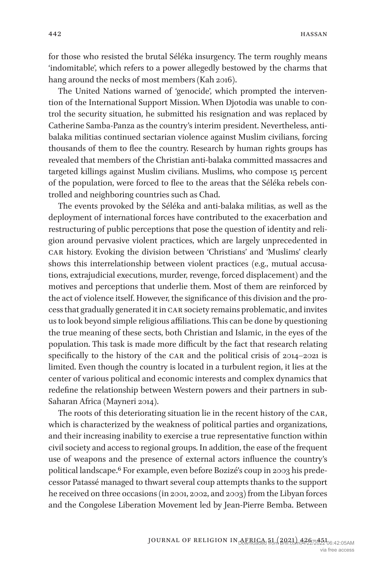for those who resisted the brutal Séléka insurgency. The term roughly means 'indomitable', which refers to a power allegedly bestowed by the charms that hang around the necks of most members(Kah 2016).

The United Nations warned of 'genocide', which prompted the intervention of the International Support Mission. When Djotodia was unable to control the security situation, he submitted his resignation and was replaced by Catherine Samba-Panza as the country's interim president. Nevertheless, antibalaka militias continued sectarian violence against Muslim civilians, forcing thousands of them to flee the country. Research by human rights groups has revealed that members of the Christian anti-balaka committed massacres and targeted killings against Muslim civilians. Muslims, who compose 15 percent of the population, were forced to flee to the areas that the Séléka rebels controlled and neighboring countries such as Chad.

The events provoked by the Séléka and anti-balaka militias, as well as the deployment of international forces have contributed to the exacerbation and restructuring of public perceptions that pose the question of identity and religion around pervasive violent practices, which are largely unprecedented in CAR history. Evoking the division between 'Christians' and 'Muslims' clearly shows this interrelationship between violent practices (e.g., mutual accusations, extrajudicial executions, murder, revenge, forced displacement) and the motives and perceptions that underlie them. Most of them are reinforced by the act of violence itself. However, the significance of this division and the process that gradually generated it in CAR society remains problematic, and invites us to look beyond simple religious affiliations. This can be done by questioning the true meaning of these sects, both Christian and Islamic, in the eyes of the population. This task is made more difficult by the fact that research relating specifically to the history of the CAR and the political crisis of 2014–2021 is limited. Even though the country is located in a turbulent region, it lies at the center of various political and economic interests and complex dynamics that redefine the relationship between Western powers and their partners in sub-Saharan Africa (Mayneri 2014).

The roots of this deteriorating situation lie in the recent history of the CAR, which is characterized by the weakness of political parties and organizations, and their increasing inability to exercise a true representative function within civil society and access to regional groups. In addition, the ease of the frequent use of weapons and the presence of external actors influence the country's political landscape.6 For example, even before Bozizé's coup in 2003 his predecessor Patassé managed to thwart several coup attempts thanks to the support he received on three occasions (in 2001, 2002, and 2003) from the Libyan forces and the Congolese Liberation Movement led by Jean-Pierre Bemba. Between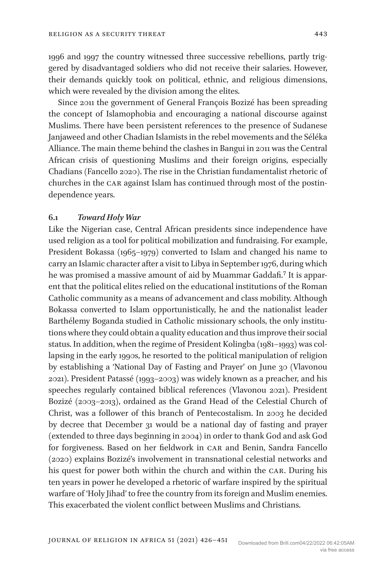1996 and 1997 the country witnessed three successive rebellions, partly triggered by disadvantaged soldiers who did not receive their salaries. However, their demands quickly took on political, ethnic, and religious dimensions, which were revealed by the division among the elites.

Since 2011 the government of General François Bozizé has been spreading the concept of Islamophobia and encouraging a national discourse against Muslims. There have been persistent references to the presence of Sudanese Janjaweed and other Chadian Islamists in the rebel movements and the Séléka Alliance. The main theme behind the clashes in Bangui in 2011 was the Central African crisis of questioning Muslims and their foreign origins, especially Chadians (Fancello 2020). The rise in the Christian fundamentalist rhetoric of churches in the CAR against Islam has continued through most of the postindependence years.

## **6.1** *Toward Holy War*

Like the Nigerian case, Central African presidents since independence have used religion as a tool for political mobilization and fundraising. For example, President Bokassa (1965–1979) converted to Islam and changed his name to carry an Islamic character after a visit to Libya in September 1976, during which he was promised a massive amount of aid by Muammar Gaddafi.7 It is apparent that the political elites relied on the educational institutions of the Roman Catholic community as a means of advancement and class mobility. Although Bokassa converted to Islam opportunistically, he and the nationalist leader Barthélemy Boganda studied in Catholic missionary schools, the only institutions where they could obtain a quality education and thus improve their social status. In addition, when the regime of President Kolingba (1981–1993) was collapsing in the early 1990s, he resorted to the political manipulation of religion by establishing a 'National Day of Fasting and Prayer' on June 30 (Vlavonou 2021). President Patassé (1993–2003) was widely known as a preacher, and his speeches regularly contained biblical references (Vlavonou 2021). President Bozizé (2003–2013), ordained as the Grand Head of the Celestial Church of Christ, was a follower of this branch of Pentecostalism. In 2003 he decided by decree that December 31 would be a national day of fasting and prayer (extended to three days beginning in 2004) in order to thank God and ask God for forgiveness. Based on her fieldwork in CAR and Benin, Sandra Fancello (2020) explains Bozizé's involvement in transnational celestial networks and his quest for power both within the church and within the CAR. During his ten years in power he developed a rhetoric of warfare inspired by the spiritual warfare of 'Holy Jihad' to free the country from its foreign and Muslim enemies. This exacerbated the violent conflict between Muslims and Christians.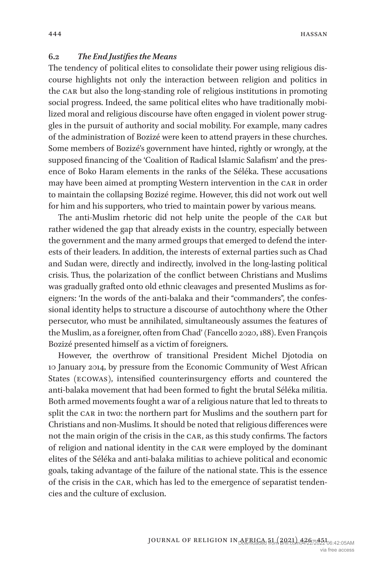## **6.2** *The End Justifiesthe Means*

The tendency of political elites to consolidate their power using religious discourse highlights not only the interaction between religion and politics in the CAR but also the long-standing role of religious institutions in promoting social progress. Indeed, the same political elites who have traditionally mobilized moral and religious discourse have often engaged in violent power struggles in the pursuit of authority and social mobility. For example, many cadres of the administration of Bozizé were keen to attend prayers in these churches. Some members of Bozizé's government have hinted, rightly or wrongly, at the supposed financing of the 'Coalition of Radical Islamic Salafism' and the presence of Boko Haram elements in the ranks of the Séléka. These accusations may have been aimed at prompting Western intervention in the CAR in order to maintain the collapsing Bozizé regime. However, this did not work out well for him and his supporters, who tried to maintain power by various means.

The anti-Muslim rhetoric did not help unite the people of the CAR but rather widened the gap that already exists in the country, especially between the government and the many armed groups that emerged to defend the interests of their leaders. In addition, the interests of external parties such as Chad and Sudan were, directly and indirectly, involved in the long-lasting political crisis. Thus, the polarization of the conflict between Christians and Muslims was gradually grafted onto old ethnic cleavages and presented Muslims as foreigners: 'In the words of the anti-balaka and their "commanders", the confessional identity helps to structure a discourse of autochthony where the Other persecutor, who must be annihilated, simultaneously assumes the features of the Muslim, as a foreigner, often from Chad' (Fancello 2020, 188). Even François Bozizé presented himself as a victim of foreigners.

However, the overthrow of transitional President Michel Djotodia on 10 January 2014, by pressure from the Economic Community of West African States (ECOWAS), intensified counterinsurgency efforts and countered the anti-balaka movement that had been formed to fight the brutal Séléka militia. Both armed movements fought a war of a religious nature that led to threats to split the CAR in two: the northern part for Muslims and the southern part for Christians and non-Muslims. It should be noted that religious differences were not the main origin of the crisis in the CAR, as this study confirms. The factors of religion and national identity in the CAR were employed by the dominant elites of the Séléka and anti-balaka militias to achieve political and economic goals, taking advantage of the failure of the national state. This is the essence of the crisis in the CAR, which has led to the emergence of separatist tendencies and the culture of exclusion.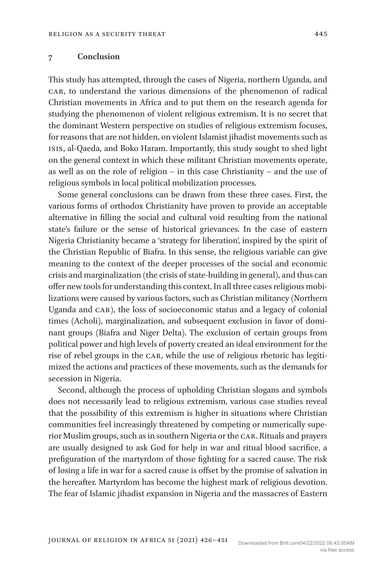### **7 Conclusion**

This study has attempted, through the cases of Nigeria, northern Uganda, and CAR, to understand the various dimensions of the phenomenon of radical Christian movements in Africa and to put them on the research agenda for studying the phenomenon of violent religious extremism. It is no secret that the dominant Western perspective on studies of religious extremism focuses, for reasons that are not hidden, on violent Islamist jihadist movements such as ISIS, al-Qaeda, and Boko Haram. Importantly, this study sought to shed light on the general context in which these militant Christian movements operate, as well as on the role of religion – in this case Christianity – and the use of religious symbols in local political mobilization processes.

Some general conclusions can be drawn from these three cases. First, the various forms of orthodox Christianity have proven to provide an acceptable alternative in filling the social and cultural void resulting from the national state's failure or the sense of historical grievances. In the case of eastern Nigeria Christianity became a 'strategy for liberation', inspired by the spirit of the Christian Republic of Biafra. In this sense, the religious variable can give meaning to the context of the deeper processes of the social and economic crisis and marginalization (the crisis of state-building in general), and thus can offer new tools for understanding this context. In all three cases religious mobilizations were caused by various factors, such as Christian militancy (Northern Uganda and CAR), the loss of socioeconomic status and a legacy of colonial times (Acholi), marginalization, and subsequent exclusion in favor of dominant groups (Biafra and Niger Delta). The exclusion of certain groups from political power and high levels of poverty created an ideal environment for the rise of rebel groups in the CAR, while the use of religious rhetoric has legitimized the actions and practices of these movements, such as the demands for secession in Nigeria.

Second, although the process of upholding Christian slogans and symbols does not necessarily lead to religious extremism, various case studies reveal that the possibility of this extremism is higher in situations where Christian communities feel increasingly threatened by competing or numerically superior Muslim groups, such as in southern Nigeria or the CAR. Rituals and prayers are usually designed to ask God for help in war and ritual blood sacrifice, a prefiguration of the martyrdom of those fighting for a sacred cause. The risk of losing a life in war for a sacred cause is offset by the promise of salvation in the hereafter. Martyrdom has become the highest mark of religious devotion. The fear of Islamic jihadist expansion in Nigeria and the massacres of Eastern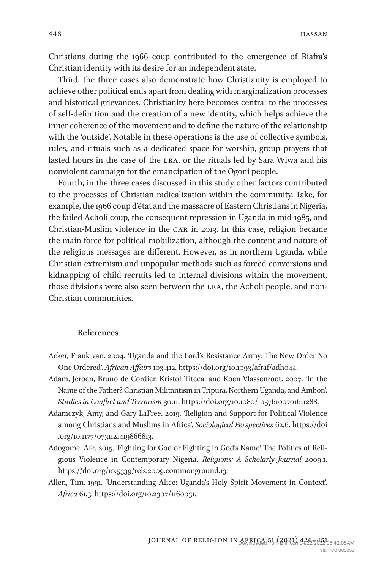Christians during the 1966 coup contributed to the emergence of Biafra's Christian identity with its desire for an independent state.

Third, the three cases also demonstrate how Christianity is employed to achieve other political ends apart from dealing with marginalization processes and historical grievances. Christianity here becomes central to the processes of self-definition and the creation of a new identity, which helps achieve the inner coherence of the movement and to define the nature of the relationship with the 'outside'. Notable in these operations is the use of collective symbols, rules, and rituals such as a dedicated space for worship, group prayers that lasted hours in the case of the LRA, or the rituals led by Sara Wiwa and his nonviolent campaign for the emancipation of the Ogoni people.

Fourth, in the three cases discussed in this study other factors contributed to the processes of Christian radicalization within the community. Take, for example, the 1966 coup d'état and the massacre of Eastern Christians in Nigeria, the failed Acholi coup, the consequent repression in Uganda in mid-1985, and Christian-Muslim violence in the CAR in 2013. In this case, religion became the main force for political mobilization, although the content and nature of the religious messages are different. However, as in northern Uganda, while Christian extremism and unpopular methods such as forced conversions and kidnapping of child recruits led to internal divisions within the movement, those divisions were also seen between the LRA, the Acholi people, and non-Christian communities.

### **References**

- Acker, Frank van. 2004. 'Uganda and the Lord's Resistance Army: The New Order No One Ordered'. *African Affairs* 103.412. https://doi.org/10.1093/afraf/adh044.
- Adam, Jeroen, Bruno de Cordier, Kristof Titeca, and Koen Vlassenroot. 2007. 'In the Name of the Father? Christian Militantism in Tripura, Northern Uganda, and Ambon'. *Studies in Conflict and Terrorism* 30.11. https://doi.org/10.1080/10576100701611288.
- Adamczyk, Amy, and Gary LaFree. 2019. 'Religion and Support for Political Violence among Christians and Muslims in Africa'. *Sociological Perspectives* 62.6. https://doi .org/10.1177/0731121419866813.
- Adogome, Afe. 2015. 'Fighting for God or Fighting in God's Name! The Politics of Religious Violence in Contemporary Nigeria'. *Religions: A Scholarly Journal* 2009.1. https://doi.org/10.5339/rels.2009.commonground.13.
- Allen, Tim. 1991. 'Understanding Alice: Uganda's Holy Spirit Movement in Context'. *Africa* 61.3. https://doi.org/10.2307/1160031.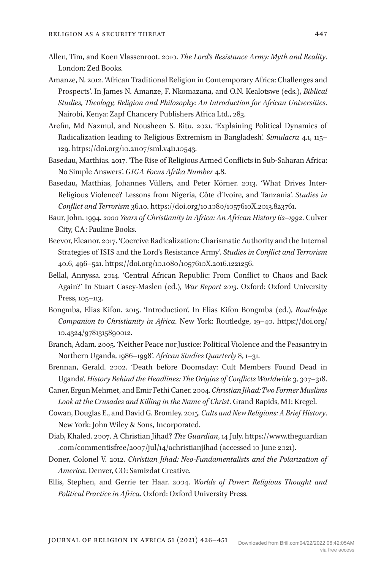- Allen, Tim, and Koen Vlassenroot. 2010. *The Lord's Resistance Army: Myth and Reality*. London: Zed Books.
- Amanze, N. 2012. 'African Traditional Religion in Contemporary Africa: Challenges and Prospects'. In James N. Amanze, F. Nkomazana, and O.N. Kealotswe (eds.), *Biblical Studies, Theology, Religion and Philosophy: An Introduction for African Universities*. Nairobi, Kenya: Zapf Chancery Publishers Africa Ltd., 283.
- Arefin, Md Nazmul, and Nousheen S. Ritu. 2021. 'Explaining Political Dynamics of Radicalization leading to Religious Extremism in Bangladesh'. *Simulacra* 4.1, 115– 129. https://doi.org/10.21107/sml.v4i1.10543.
- Basedau, Matthias. 2017. 'The Rise of Religious Armed Conflicts in Sub-Saharan Africa: No Simple Answers'. *GIGA Focus Afrika Number* 4.8.
- Basedau, Matthias, Johannes Vüllers, and Peter Körner. 2013. 'What Drives Inter-Religious Violence? Lessons from Nigeria, Côte d'Ivoire, and Tanzania'. *Studies in Conflict and Terrorism* 36.10. https://doi.org/10.1080/1057610X.2013.823761.
- Baur, John. 1994. *2000 Years of Christianity in Africa: An African History 62–1992*. Culver City, CA: Pauline Books.
- Beevor, Eleanor. 2017. 'Coercive Radicalization: Charismatic Authority and the Internal Strategies of ISIS and the Lord's Resistance Army'. *Studies in Conflict and Terrorism* 40.6, 496–521. https://doi.org/10.1080/1057610X.2016.1221256.
- Bellal, Annyssa. 2014. 'Central African Republic: From Conflict to Chaos and Back Again?' In Stuart Casey-Maslen (ed.), *War Report 2013*. Oxford: Oxford University Press, 105–113.
- Bongmba, Elias Kifon. 2015. 'Introduction'. In Elias Kifon Bongmba (ed.), *Routledge Companion to Christianity in Africa*. New York: Routledge, 19–40. https://doi.org/ 10.4324/9781315890012.
- Branch, Adam. 2005. 'Neither Peace nor Justice: Political Violence and the Peasantry in Northern Uganda, 1986–1998'. *African Studies Quarterly* 8, 1–31.
- Brennan, Gerald. 2002. 'Death before Doomsday: Cult Members Found Dead in Uganda'. *History Behind the Headlines: The Origins of Conflicts Worldwide* 3, 307–318.
- Caner, Ergun Mehmet, and Emir Fethi Caner. 2004. *Christian Jihad: Two Former Muslims Look at the Crusades and Killing in the Name of Christ*. Grand Rapids, MI: Kregel.
- Cowan, Douglas E., and David G. Bromley. 2015. *Cults and New Religions: A Brief History*. New York: John Wiley & Sons, Incorporated.
- Diab, Khaled. 2007. A Christian Jihad? *The Guardian*, 14 July. https://www.theguardian .com/commentisfree/2007/jul/14/achristianjihad (accessed 10 June 2021).
- Doner, Colonel V. 2012. *Christian Jihad: Neo-Fundamentalists and the Polarization of America*. Denver, CO: Samizdat Creative.
- Ellis, Stephen, and Gerrie ter Haar. 2004. *Worlds of Power: Religious Thought and Political Practice in Africa*. Oxford: Oxford University Press.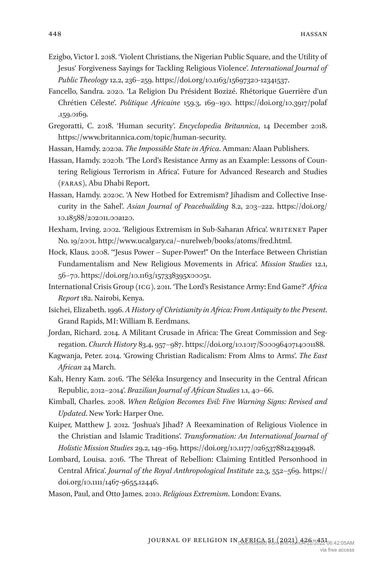- Ezigbo, Victor I. 2018. 'Violent Christians, the Nigerian Public Square, and the Utility of Jesus' Forgiveness Sayings for Tackling Religious Violence'. *International Journal of Public Theology* 12.2, 236–259. https://doi.org/10.1163/15697320-12341537.
- Fancello, Sandra. 2020. 'La Religion Du Président Bozizé. Rhétorique Guerrière d'un Chrétien Céleste'. *Politique Africaine* 159.3, 169–190. https://doi.org/10.3917/polaf .159.0169.
- Gregoratti, C. 2018. 'Human security'. *Encyclopedia Britannica*, 14 December 2018. https://www.britannica.com/topic/human-security.
- Hassan, Hamdy. 2020a. *The Impossible State in Africa*. Amman: Alaan Publishers.
- Hassan, Hamdy. 2020b. 'The Lord's Resistance Army as an Example: Lessons of Countering Religious Terrorism in Africa'. Future for Advanced Research and Studies (FARAS), Abu Dhabi Report.
- Hassan, Hamdy. 2020c. 'A New Hotbed for Extremism? Jihadism and Collective Insecurity in the Sahel'. *Asian Journal of Peacebuilding* 8.2, 203–222. https://doi.org/ 10.18588/202011.00a120.
- Hexham, Irving. 2002. 'Religious Extremism in Sub-Saharan Africa'. WRITENET Paper No. 19/2001. http://www.ucalgary.ca/~nurelweb/books/atoms/fred.html.
- Hock, Klaus. 2008. '"Jesus Power Super-Power!" On the Interface Between Christian Fundamentalism and New Religious Movements in Africa'. *Mission Studies* 12.1, 56–70. https://doi.org/10.1163/157338395x00051.
- International Crisis Group (ICG). 2011. 'The Lord's Resistance Army: End Game?' *Africa Report* 182. Nairobi, Kenya.
- Isichei, Elizabeth. 1996. *A History of Christianity in Africa: From Antiquity to the Present*. Grand Rapids, MI: William B. Eerdmans.
- Jordan, Richard. 2014. A Militant Crusade in Africa: The Great Commission and Segregation. *Church History* 83.4, 957–987. https://doi.org/10.1017/S0009640714001188.
- Kagwanja, Peter. 2014. 'Growing Christian Radicalism: From Alms to Arms'. *The East African* 24 March.
- Kah, Henry Kam. 2016. 'The Séléka Insurgency and Insecurity in the Central African Republic, 2012–2014'. *Brazilian Journal of African Studies* 1.1, 40–66.
- Kimball, Charles. 2008. *When Religion Becomes Evil: Five Warning Signs: Revised and Updated*. New York: Harper One.
- Kuiper, Matthew J. 2012. 'Joshua's Jihad? A Reexamination of Religious Violence in the Christian and Islamic Traditions'. *Transformation: An International Journal of Holistic Mission Studies* 29.2, 149–169. https://doi.org/10.1177/0265378812439948.
- Lombard, Louisa. 2016. 'The Threat of Rebellion: Claiming Entitled Personhood in Central Africa'. *Journal of the Royal Anthropological Institute* 22.3, 552–569. https:// doi.org/10.1111/1467-9655.12446.
- Mason, Paul, and Otto James. 2010. *Religious Extremism*. London: Evans.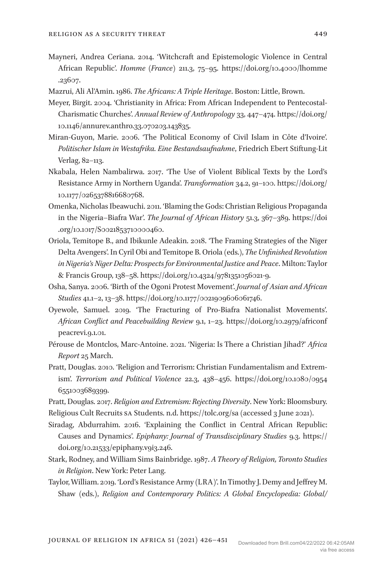- Mayneri, Andrea Ceriana. 2014. 'Witchcraft and Epistemologic Violence in Central African Republic'. *Homme (France)* 211.3, 75–95. https://doi.org/10.4000/lhomme .23607.
- Mazrui, Ali Al'Amin. 1986. *The Africans: A Triple Heritage*. Boston: Little, Brown.
- Meyer, Birgit. 2004. 'Christianity in Africa: From African Independent to Pentecostal-Charismatic Churches'. *Annual Review of Anthropology* 33, 447–474. https://doi.org/ 10.1146/annurev.anthro.33.070203.143835.
- Miran-Guyon, Marie. 2006. 'The Political Economy of Civil Islam in Côte d'Ivoire'. *Politischer Islam in Westafrika. Eine Bestandsaufnahme*, Friedrich Ebert Stiftung-Lit Verlag, 82–113.
- Nkabala, Helen Nambalirwa. 2017. 'The Use of Violent Biblical Texts by the Lord's Resistance Army in Northern Uganda'. *Transformation* 34.2, 91–100. https://doi.org/ 10.1177/0265378816680768.
- Omenka, Nicholas Ibeawuchi. 2011. 'Blaming the Gods: Christian Religious Propaganda in the Nigeria–Biafra War'. *The Journal of African History* 51.3, 367–389. https://doi .org/10.1017/S0021853710000460.
- Oriola, Temitope B., and Ibikunle Adeakin. 2018. 'The Framing Strategies of the Niger Delta Avengers'. In Cyril Obi and Temitope B. Oriola (eds.), *The Unfinished Revolution in Nigeria's Niger Delta: Prospects for Environmental Justice and Peace*. Milton: Taylor & Francis Group, 138–58. https://doi.org/10.4324/9781351056021-9.
- Osha, Sanya. 2006. 'Birth of the Ogoni Protest Movement'. *Journal of Asian and African Studies* 41.1–2, 13–38. https://doi.org/10.1177/0021909606061746.
- Oyewole, Samuel. 2019. 'The Fracturing of Pro-Biafra Nationalist Movements'. *African Conflict and Peacebuilding Review* 9.1, 1–23. https://doi.org/10.2979/africonf peacrevi.9.1.01.
- Pérouse de Montclos, Marc-Antoine. 2021. 'Nigeria: Is There a Christian Jihad?' *Africa Report* 25 March.
- Pratt, Douglas. 2010. 'Religion and Terrorism: Christian Fundamentalism and Extremism'. *Terrorism and Political Violence* 22.3, 438–456. https://doi.org/10.1080/0954 6551003689399.
- Pratt, Douglas. 2017. *Religion and Extremism: Rejecting Diversity*. New York: Bloomsbury. Religious Cult Recruits SA Students. n.d. https://tolc.org/sa (accessed 3 June 2021).
- Siradag, Abdurrahim. 2016. 'Explaining the Conflict in Central African Republic: Causes and Dynamics'. *Epiphany: Journal of Transdisciplinary Studies* 9.3. https://  $doi.org/10.21533/epiphany.vgi3.246.$
- Stark, Rodney, and William Sims Bainbridge. 1987. *A Theory of Religion, Toronto Studies in Religion*. New York: Peter Lang.
- Taylor, William. 2019. 'Lord's Resistance Army (LRA)'. In Timothy J. Demy and Jeffrey M. Shaw (eds.), *Religion and Contemporary Politics: A Global Encyclopedia: Global/*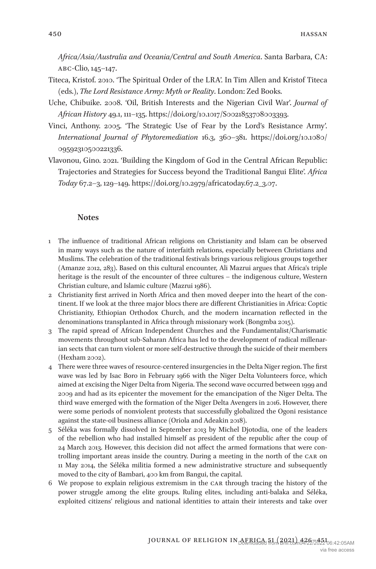*Africa/Asia/Australia and Oceania/Central and South America*. Santa Barbara, CA: ABC-Clio, 145–147.

- Titeca, Kristof. 2010. 'The Spiritual Order of the LRA'. In Tim Allen and Kristof Titeca (eds.), *The Lord Resistance Army: Myth or Reality*. London: Zed Books.
- Uche, Chibuike. 2008. 'Oil, British Interests and the Nigerian Civil War'. *Journal of African History* 49.1, 111–135. https://doi.org/10.1017/S0021853708003393.
- Vinci, Anthony. 2005. 'The Strategic Use of Fear by the Lord's Resistance Army'. *International Journal of Phytoremediation* 16.3, 360–381. https://doi.org/10.1080/ 09592310500221336.
- Vlavonou, Gino. 2021. 'Building the Kingdom of God in the Central African Republic: Trajectories and Strategies for Success beyond the Traditional Bangui Elite'. *Africa Today* 67.2–3, 129–149. https://doi.org/10.2979/africatoday.67.2\_3.07.

#### **Notes**

- 1 The influence of traditional African religions on Christianity and Islam can be observed in many ways such as the nature of interfaith relations, especially between Christians and Muslims. The celebration of the traditional festivals brings various religious groups together (Amanze 2012, 283). Based on this cultural encounter, Ali Mazrui argues that Africa's triple heritage is the result of the encounter of three cultures – the indigenous culture, Western Christian culture, and Islamic culture (Mazrui 1986).
- 2 Christianity first arrived in North Africa and then moved deeper into the heart of the continent. If we look at the three major blocs there are different Christianities in Africa: Coptic Christianity, Ethiopian Orthodox Church, and the modern incarnation reflected in the denominations transplanted in Africa through missionary work (Bongmba 2015).
- 3 The rapid spread of African Independent Churches and the Fundamentalist/Charismatic movements throughout sub-Saharan Africa has led to the development of radical millenarian sects that can turn violent or more self-destructive through the suicide of their members (Hexham 2002).
- 4 There were three waves of resource-centered insurgencies in the Delta Niger region. The first wave was led by Isac Boro in February 1966 with the Niger Delta Volunteers force, which aimed at excising the Niger Delta from Nigeria. The second wave occurred between 1999 and 2009 and had as its epicenter the movement for the emancipation of the Niger Delta. The third wave emerged with the formation of the Niger Delta Avengers in 2016. However, there were some periods of nonviolent protests that successfully globalized the Ogoni resistance against the state-oil business alliance (Oriola and Adeakin 2018).
- 5 Séléka was formally dissolved in September 2013 by Michel Djotodia, one of the leaders of the rebellion who had installed himself as president of the republic after the coup of 24 March 2013. However, this decision did not affect the armed formations that were controlling important areas inside the country. During a meeting in the north of the CAR on 11 May 2014, the Séléka militia formed a new administrative structure and subsequently moved to the city of Bambari, 400 km from Bangui, the capital.
- 6 We propose to explain religious extremism in the CAR through tracing the history of the power struggle among the elite groups. Ruling elites, including anti-balaka and Séléka, exploited citizens' religious and national identities to attain their interests and take over